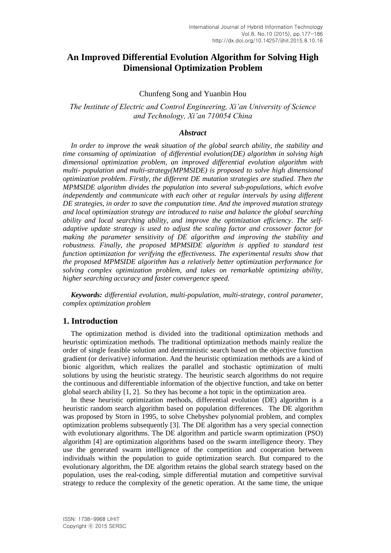# **An Improved Differential Evolution Algorithm for Solving High Dimensional Optimization Problem**

### Chunfeng Song and Yuanbin Hou

*The Institute of Electric and Control Engineering, Xi'an University of Science and Technology, Xi'an 710054 China*

### *Abstract*

*In order to improve the weak situation of the global search ability, the stability and time consuming of optimization of differential evolution(DE) algorithm in solving high dimensional optimization problem, an improved differential evolution algorithm with multi- population and multi-strategy(MPMSIDE) is proposed to solve high dimensional optimization problem. Firstly, the different DE mutation strategies are studied. Then the MPMSIDE algorithm divides the population into several sub-populations, which evolve independently and communicate with each other at regular intervals by using different DE strategies, in order to save the computation time. And the improved mutation strategy and local optimization strategy are introduced to raise and balance the global searching ability and local searching ability, and improve the optimization efficiency. The selfadaptive update strategy is used to adjust the scaling factor and crossover factor for making the parameter sensitivity of DE algorithm and improving the stability and robustness. Finally, the proposed MPMSIDE algorithm is applied to standard test function optimization for verifying the effectiveness. The experimental results show that the proposed MPMSIDE algorithm has a relatively better optimization performance for solving complex optimization problem, and takes on remarkable optimizing ability, higher searching accuracy and faster convergence speed.*

*Keywords: differential evolution, multi-population, multi-strategy, control parameter, complex optimization problem*

### **1. Introduction**

The optimization method is divided into the traditional optimization methods and heuristic optimization methods. The traditional optimization methods mainly realize the order of single feasible solution and deterministic search based on the objective function gradient (or derivative) information. And the heuristic optimization methods are a kind of bionic algorithm, which realizes the parallel and stochastic optimization of multi solutions by using the heuristic strategy. The heuristic search algorithms do not require the continuous and differentiable information of the objective function, and take on better global search ability [1, 2]. So they has become a hot topic in the optimization area.

In these heuristic optimization methods, differential evolution (DE) algorithm is a heuristic random search algorithm based on population differences. The DE algorithm was proposed by Storn in 1995, to solve Chebyshev polynomial problem, and complex optimization problems subsequently [3]. The DE algorithm has a very special connection with evolutionary algorithms. The DE algorithm and particle swarm optimization (PSO) algorithm [4] are optimization algorithms based on the swarm intelligence theory. They use the generated swarm intelligence of the competition and cooperation between individuals within the population to guide optimization search. But compared to the evolutionary algorithm, the DE algorithm retains the global search strategy based on the population, uses the real-coding, simple differential mutation and competitive survival strategy to reduce the complexity of the genetic operation. At the same time, the unique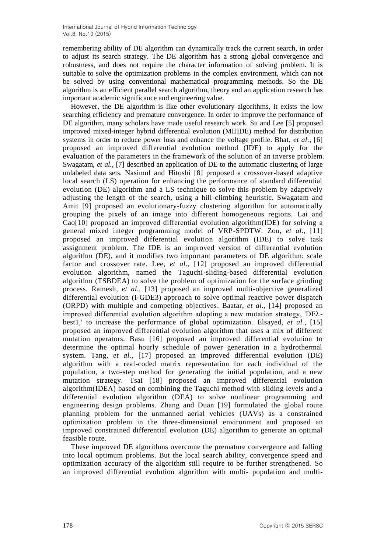remembering ability of DE algorithm can dynamically track the current search, in order to adjust its search strategy. The DE algorithm has a strong global convergence and robustness, and does not require the character information of solving problem. It is suitable to solve the optimization problems in the complex environment, which can not be solved by using conventional mathematical programming methods. So the DE algorithm is an efficient parallel search algorithm, theory and an application research has important academic significance and engineering value.

However, the DE algorithm is like other evolutionary algorithms, it exists the low searching efficiency and premature convergence. In order to improve the performance of DE algorithm, many scholars have made useful research work. Su and Lee [5] proposed improved mixed-integer hybrid differential evolution (MIHDE) method for distribution systems in order to reduce power loss and enhance the voltage profile. Bhat, *et al.,* [6] proposed an improved differential evolution method (IDE) to apply for the evaluation of the parameters in the framework of the solution of an inverse problem. Swagatam, *et al.*, [7] described an application of DE to the automatic clustering of large unlabeled data sets. Nasimul and Hitoshi [8] proposed a crossover-based adaptive local search (LS) operation for enhancing the performance of standard differential evolution (DE) algorithm and a LS technique to solve this problem by adaptively adjusting the length of the search, using a hill-climbing heuristic. Swagatam and Amit [9] proposed an evolutionary-fuzzy clustering algorithm for automatically grouping the pixels of an image into different homogeneous regions. Lai and Cao[10] proposed an improved differential evolution algorithm(IDE) for solving a general mixed integer programming model of VRP-SPDTW. Zou, *et al.,* [11] proposed an improved differential evolution algorithm (IDE) to solve task assignment problem. The IDE is an improved version of differential evolution algorithm (DE), and it modifies two important parameters of DE algorithm: scale factor and crossover rate. Lee, *et al.,* [12] proposed an improved differential evolution algorithm, named the Taguchi-sliding-based differential evolution algorithm (TSBDEA) to solve the problem of optimization for the surface grinding process. Ramesh, *et al.,* [13] proposed an improved multi-objective generalized differential evolution (I-GDE3) approach to solve optimal reactive power dispatch (ORPD) with multiple and competing objectives. Baatar, *et al.,* [14] proposed an improved differential evolution algorithm adopting a new mutation strategy, 'DEλ best1,' to increase the performance of global optimization. Elsayed, *et al.,* [15] proposed an improved differential evolution algorithm that uses a mix of different mutation operators. Basu [16] proposed an improved differential evolution to determine the optimal hourly schedule of power generation in a hydrothermal system. Tang, *et al.,* [17] proposed an improved differential evolution (DE) algorithm with a real-coded matrix representation for each individual of the population, a two-step method for generating the initial population, and a new mutation strategy. Tsai [18] proposed an improved differential evolution algorithm(IDEA) based on combining the Taguchi method with sliding levels and a differential evolution algorithm (DEA) to solve nonlinear programming and engineering design problems. Zhang and Duan [19] formulated the global route planning problem for the unmanned aerial vehicles (UAVs) as a constrained optimization problem in the three-dimensional environment and proposed an improved constrained differential evolution (DE) algorithm to generate an optimal feasible route.

These improved DE algorithms overcome the premature convergence and falling into local optimum problems. But the local search ability, convergence speed and optimization accuracy of the algorithm still require to be further strengthened. So an improved differential evolution algorithm with multi- population and multi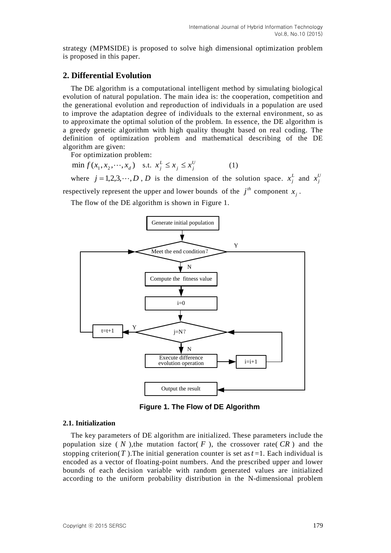strategy (MPMSIDE) is proposed to solve high dimensional optimization problem is proposed in this paper.

## **2. Differential Evolution**

The DE algorithm is a computational intelligent method by simulating biological evolution of natural population. The main idea is: the cooperation, competition and the generational evolution and reproduction of individuals in a population are used to improve the adaptation degree of individuals to the external environment, so as to approximate the optimal solution of the problem. In essence, the DE algorithm is a greedy genetic algorithm with high quality thought based on real coding. The definition of optimization problem and mathematical describing of the DE algorithm are given:

For optimization problem:

 $\min f(x_1, x_2, \dots, x_d)$  s.t.  $x_j^L \le x_j \le x_j^U$  $j = \lambda_j$ *L*  $x_j^L \le x_j \le x_j^U$  (1)

where  $j = 1, 2, 3, \dots, D$ , *D* is the dimension of the solution space.  $x_j^L$  $x_j^L$  and  $x_j^U$  $x_j^l$ 

respectively represent the upper and lower bounds of the  $j<sup>th</sup>$  component  $x_j$ .

The flow of the DE algorithm is shown in Figure 1.



**Figure 1. The Flow of DE Algorithm**

#### **2.1. Initialization**

The key parameters of DE algorithm are initialized. These parameters include the population size  $(N)$ , the mutation factor  $(F)$ , the crossover rate  $CR$  and the stopping criterion( $T$ ). The initial generation counter is set as  $t = 1$ . Each individual is encoded as a vector of floating-point numbers. And the prescribed upper and lower bounds of each decision variable with random generated values are initialized according to the uniform probability distribution in the N-dimensional problem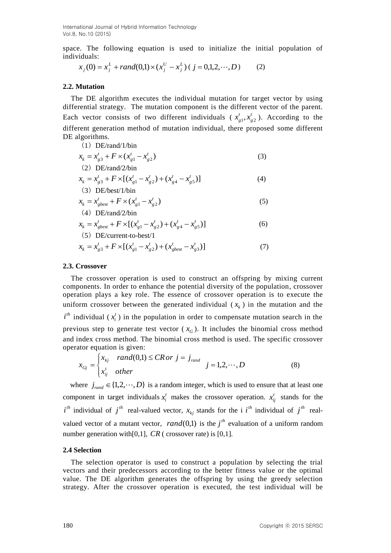space. The following equation is used to initialize the initial population of individuals:

$$
x_j(0) = x_j^L + rand(0,1) \times (x_j^U - x_j^L) \ (j = 0,1,2,\dots,D) \tag{2}
$$

### **2.2. Mutation**

The DE algorithm executes the individual mutation for target vector by using differential strategy. The mutation component is the different vector of the parent. Each vector consists of two different individuals ( $x_a^t, x_a^t$ *g t*  $x_{g1}^t, x_{g2}^t$ ). According to the different generation method of mutation individual, there proposed some different DE algorithms.  $(1)$  DE/rand/1/bi

(1) DE/rand/1/bin  
\n
$$
x_k = x_{g3}^t + F \times (x_{g1}^t - x_{g2}^t)
$$
  
\n(2) DE/rand/2/bin

$$
x_k = x_{g3}^t + F \times [(x_{g1}^t - x_{g2}^t) + (x_{g4}^t - x_{g5}^t)]
$$
\n(4)

$$
x_k = x_{gbest}^t + F \times (x_{g1}^t - x_{g2}^t)
$$
  
(4) DE/rand/2/bin

$$
x_k = x_{gbest}^t + F \times [(x_{g1}^t - x_{g2}^t) + (x_{g4}^t - x_{g5}^t)]
$$
  
(5) DE/current-to-best/1

$$
x_k = x_{g3}^t + F \times [(x_{g1}^t - x_{g2}^t) + (x_{gbest}^t - x_{g3}^t)]
$$
\n(7)

### **2.3. Crossover**

The crossover operation is used to construct an offspring by mixing current components. In order to enhance the potential diversity of the population, crossover operation plays a key role. The essence of crossover operation is to execute the uniform crossover between the generated individual  $(x<sub>k</sub>)$  in the mutation and the  $i^{th}$  individual ( $x_i^t$  $x_i^t$ ) in the population in order to compensate mutation search in the previous step to generate test vector  $(x_G)$ . It includes the binomial cross method and index cross method. The binomial cross method is used. The specific crossover operator equation is given:

$$
x_{Gj} = \begin{cases} x_{kj} \quad rand(0,1) \leq CR \, or \, j = j_{rand} \\ x_{ij}^t \quad other \end{cases} \quad j = 1,2,\cdots,D \tag{8}
$$

where  $j_{rand} \in \{1, 2, \dots, D\}$  is a random integer, which is used to ensure that at least one component in target individuals  $x_i^t$  $x_i^t$  makes the crossover operation.  $x_{ij}^t$  stands for the *i*<sup>th</sup> individual of  $j$ <sup>th</sup> real-valued vector,  $x_{kj}$  stands for the i *i*<sup>th</sup> individual of  $j$ <sup>th</sup> realvalued vector of a mutant vector,  $rand(0,1)$  is the  $j<sup>th</sup>$  evaluation of a uniform random number generation with [0,1],  $CR$  (crossover rate) is [0,1].

### **2.4 Selection**

The selection operator is used to construct a population by selecting the trial vectors and their predecessors according to the better fitness value or the optimal value. The DE algorithm generates the offspring by using the greedy selection strategy. After the crossover operation is executed, the test individual will be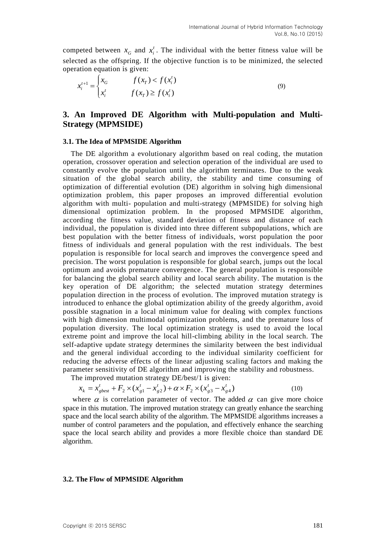competed between  $x_G$  and  $x_i^t$  $x_i^t$ . The individual with the better fitness value will be selected as the offspring. If the objective function is to be minimized, the selected operation equation is given:

$$
x_i^{t+1} = \begin{cases} x_G & f(x_T) < f(x_i^t) \\ x_i^t & f(x_T) \ge f(x_i^t) \end{cases} \tag{9}
$$

## **3. An Improved DE Algorithm with Multi-population and Multi-Strategy (MPMSIDE)**

### **3.1. The Idea of MPMSIDE Algorithm**

The DE algorithm a evolutionary algorithm based on real coding, the mutation operation, crossover operation and selection operation of the individual are used to constantly evolve the population until the algorithm terminates. Due to the weak situation of the global search ability, the stability and time consuming of optimization of differential evolution (DE) algorithm in solving high dimensional optimization problem, this paper proposes an improved differential evolution algorithm with multi- population and multi-strategy (MPMSIDE) for solving high dimensional optimization problem. In the proposed MPMSIDE algorithm, according the fitness value, standard deviation of fitness and distance of each individual, the population is divided into three different subpopulations, which are best population with the better fitness of individuals, worst population the poor fitness of individuals and general population with the rest individuals. The best population is responsible for local search and improves the convergence speed and precision. The worst population is responsible for global search, jumps out the local optimum and avoids premature convergence. The general population is responsible for balancing the global search ability and local search ability. The mutation is the key operation of DE algorithm; the selected mutation strategy determines population direction in the process of evolution. The improved mutation strategy is introduced to enhance the global optimization ability of the greedy algorithm, avoid possible stagnation in a local minimum value for dealing with complex functions with high dimension multimodal optimization problems, and the premature loss of population diversity. The local optimization strategy is used to avoid the local extreme point and improve the local hill-climbing ability in the local search. The self-adaptive update strategy determines the similarity between the best individual and the general individual according to the individual similarity coefficient for reducing the adverse effects of the linear adjusting scaling factors and making the parameter sensitivity of DE algorithm and improving the stability and robustness.

The improved mutation strategy DE/best/1 is given:

$$
x_k = x_{gbest}^t + F_2 \times (x_{g1}^t - x_{g2}^t) + \alpha \times F_2 \times (x_{g3}^t - x_{g4}^t)
$$
 (10)

where  $\alpha$  is correlation parameter of vector. The added  $\alpha$  can give more choice space in this mutation. The improved mutation strategy can greatly enhance the searching space and the local search ability of the algorithm. The MPMSIDE algorithms increases a number of control parameters and the population, and effectively enhance the searching space the local search ability and provides a more flexible choice than standard DE algorithm.

### **3.2. The Flow of MPMSIDE Algorithm**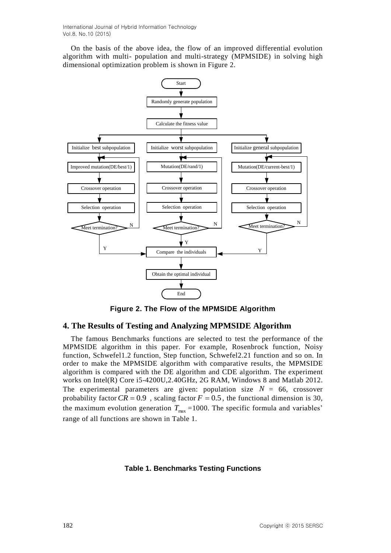International Journal of Hybrid Information Technology Vol.8, No.10 (2015)

On the basis of the above idea, the flow of an improved differential evolution algorithm with multi- population and multi-strategy (MPMSIDE) in solving high dimensional optimization problem is shown in Figure 2.



**Figure 2. The Flow of the MPMSIDE Algorithm**

## **4. The Results of Testing and Analyzing MPMSIDE Algorithm**

The famous Benchmarks functions are selected to test the performance of the MPMSIDE algorithm in this paper. For example, Rosenbrock function, Noisy function, Schwefel1.2 function, Step function, Schwefel2.21 function and so on. In order to make the MPMSIDE algorithm with comparative results, the MPMSIDE algorithm is compared with the DE algorithm and CDE algorithm. The experiment works on Intel(R) Core i5-4200U,2.40GHz, 2G RAM, Windows 8 and Matlab 2012. The experimental parameters are given: population size  $N = 66$ , crossover probability factor  $CR = 0.9$ , scaling factor  $F = 0.5$ , the functional dimension is 30, the maximum evolution generation  $T_{\text{max}}$  =1000. The specific formula and variables' range of all functions are shown in Table 1.

### **Table 1. Benchmarks Testing Functions**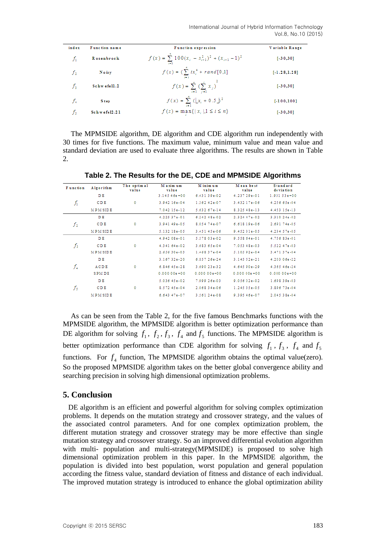International Journal of Hybrid Information Technology Vol.8, No.10 (2015)

| index | Function name | <b>Function expression</b>                                       | Variable Range  |  |
|-------|---------------|------------------------------------------------------------------|-----------------|--|
| fг    | Rosenbrock    | $f(x) = \sum_{i=1}^{n} 100(x_i - x_{i-1}^2)^2 + (x_{i-1} - 1)^2$ | $[-30, 30]$     |  |
| f,    | Noisy         | $f(x) = \big(\sum_{i=1}^{n}ix_i^4 + rand[0,1]\big)$              | $[-1.28, 1.28]$ |  |
| f,    | Schwefell.2   | $f(x) = \sum_{i=1}^{n} \left(\sum_{j=1}^{i} x_{j}\right)^{2}$    | $[-30, 30]$     |  |
| ſ.    | <b>Step</b>   | $f(x) = \sum_{i=1}^{n} (\lfloor x_i + 0.5 \rfloor)^2$            | $[-100, 100]$   |  |
| f,    | Schwefel2.21  | $f(x) = \max\{ x_i , 1 \le i \le n\}$                            | $[-30, 30]$     |  |

The MPMSIDE algorithm, DE algorithm and CDE algorithm run independently with 30 times for five functions. The maximum value, minimum value and mean value and standard deviation are used to evaluate three algorithms. The results are shown in Table 2.

| <b>Function</b> | Algorithm      | The optimal<br>value | Maxim um<br>value | Minimum<br>value | Mean best<br>value | <b>Standard</b><br>de viation |
|-----------------|----------------|----------------------|-------------------|------------------|--------------------|-------------------------------|
|                 | DE             | $\circ$              | $3.14546e+00$     | 6.43139e-02      | 4.237 29e-01       | $1.93153e+00$                 |
| ĥ               | CDE            |                      | 3.942 16e-04      | 1.362 42e-07     | 3.432 17e-06       | 4.256 65e-04                  |
|                 | <b>MPMSIDE</b> |                      | 7.042 15e-12      | 5.632 67e-14     | 8.325 48e-13       | 4.453 15e-13                  |
|                 | D <sub>E</sub> | 0                    | 4.225 37e-01      | 6.24248e-02      | 2.324 47e-02       | 3.310 24e-02                  |
| $f_2$           | CDE            |                      | 3.941 49e-05      | 8.054 74e-07     | 6.618 19e-06       | 2.691 74e-05                  |
|                 | <b>MPMSIDE</b> |                      | 5.132 18e-05      | 3.451 45e-06     | 9.452 31e-05       | 4.234 57e-05                  |
|                 | DE             | ٥                    | 4.942 08e-01      | 5.578 03e-02     | 9.558 64e-01       | 4.756 83e-01                  |
| fз              | CDE            |                      | 4.341 64e-02      | 3.683 65e-04     | 7.053 48e-03       | 5.522 47e-03                  |
|                 | <b>MPMSIDE</b> |                      | 2.656 30e-03      | 1.46837e-04      | 5.105 92e-04       | 3.471 37e-04                  |
|                 | DE             | $\circ$              | 3.167 32e-20      | 6.857 26e-24     | 3.145 52e-21       | 4.203 06e-22                  |
| $f_4$           | ACDE           |                      | $6.84645e-28$     | 3.690 23e-32     | 4.645 90e-29       | 4.365 46e-24                  |
|                 | <b>SPMDE</b>   |                      | $0.00000 + 00$    | $0.00000 + 00$   | $0.00000 + 00$     | $0.00000 + 00$                |
|                 | DE             | 0                    | 5.036 45e-02      | 7.999 26e-03     | 9.056 02e-02       | 1.69839e-03                   |
| $f_{\rm{5}}$    | CDE            |                      | 8.572 45e-04      | 2.06834e-06      | 1.245 35e-05       | 3.896 73e-04                  |
|                 | <b>MPMSIDE</b> |                      | $6.64347e-07$     | 3.561 24e-08     | 9.395 46e-07       | 2.045 38e-04                  |

**Table 2. The Results for the DE, CDE and MPMSIDE Algorithms**

As can be seen from the Table 2, for the five famous Benchmarks functions with the MPMSIDE algorithm, the MPMSIDE algorithm is better optimization performance than DE algorithm for solving  $f_1$ ,  $f_2$ ,  $f_3$ ,  $f_4$  and  $f_5$  functions. The MPMSIDE algorithm is better optimization performance than CDE algorithm for solving  $f_1$ ,  $f_3$ ,  $f_4$  and  $f_5$ functions. For  $f_4$  function, The MPMSIDE algorithm obtains the optimal value(zero). So the proposed MPMSIDE algorithm takes on the better global convergence ability and searching precision in solving high dimensional optimization problems.

## **5. Conclusion**

 DE algorithm is an efficient and powerful algorithm for solving complex optimization problems. It depends on the mutation strategy and crossover strategy, and the values of the associated control parameters. And for one complex optimization problem, the different mutation strategy and crossover strategy may be more effective than single mutation strategy and crossover strategy. So an improved differential evolution algorithm with multi- population and multi-strategy(MPMSIDE) is proposed to solve high dimensional optimization problem in this paper. In the MPMSIDE algorithm, the population is divided into best population, worst population and general population according the fitness value, standard deviation of fitness and distance of each individual. The improved mutation strategy is introduced to enhance the global optimization ability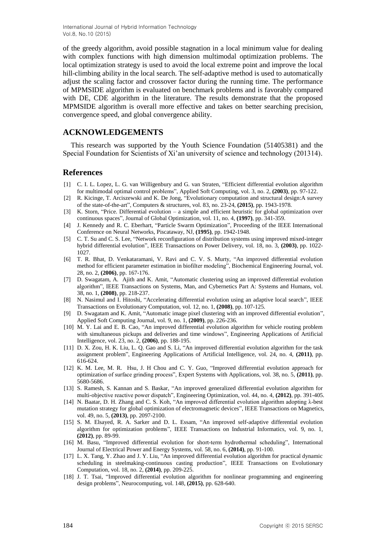International Journal of Hybrid Information Technology Vol.8, No.10 (2015)

of the greedy algorithm, avoid possible stagnation in a local minimum value for dealing with complex functions with high dimension multimodal optimization problems. The local optimization strategy is used to avoid the local extreme point and improve the local hill-climbing ability in the local search. The self-adaptive method is used to automatically adjust the scaling factor and crossover factor during the running time. The performance of MPMSIDE algorithm is evaluated on benchmark problems and is favorably compared with DE, CDE algorithm in the literature. The results demonstrate that the proposed MPMSIDE algorithm is overall more effective and takes on better searching precision, convergence speed, and global convergence ability.

### **ACKNOWLEDGEMENTS**

This research was supported by the Youth Science Foundation (51405381) and the Special Foundation for Scientists of Xi'an university of science and technology (201314).

### **References**

- [1] C. I. L. Lopez, L. G. van Willigenbury and G. van Straten, "Efficient differential evolution algorithm for multimodal optimal control problems", Applied Soft Computing, vol. 3, no. 2, **(2003)**, pp. 97-122.
- [2] R. Kicinge, T. Arciszewski and K. De Jong, "Evolutionary computation and structural design:A survey of the state-of-the-art", Computers & structures, vol. 83, no. 23-24, **(2015)**, pp. 1943-1978.
- [3] K. Storn, "Price. Differential evolution a simple and efficient heuristic for global optimization over continuous spaces", Journal of Global Optimization, vol. 11, no. 4, **(1997)**, pp. 341-359.
- [4] J. Kennedy and R. C. Eberhart, "Particle Swarm Optimization", Proceeding of the IEEE International Conference on Neural Networks, Piscataway, NJ, **(1995)**, pp. 1942-1948.
- [5] C. T. Su and C. S. Lee, "Network reconfiguration of distribution systems using improved mixed-integer hybrid differential evolution", IEEE Transactions on Power Delivery, vol. 18, no. 3, **(2003)**, pp. 1022- 1027.
- [6] T. R. Bhat, D. Venkataramani, V. Ravi and C. V. S. Murty, "An improved differential evolution method for efficient parameter estimation in biofilter modeling", Biochemical Engineering Journal, vol. 28, no. 2, **(2006)**, pp. 167-176.
- [7] D. Swagatam, A. Ajith and K. Amit, "Automatic clustering using an improved differential evolution algorithm", IEEE Transactions on Systems, Man, and Cybernetics Part A: Systems and Humans, vol. 38, no. 1, **(2008)**, pp. 218-237.
- [8] N. Nasimul and I. Hitoshi, "Accelerating differential evolution using an adaptive local search", IEEE Transactions on Evolutionary Computation, vol. 12, no. 1, **(2008)**, pp. 107-125.
- [9] D. Swagatam and K. Amit, "Automatic image pixel clustering with an improved differential evolution", Applied Soft Computing Journal, vol. 9, no. 1, **(2009)**, pp. 226-236.
- [10] M. Y. Lai and E. B. Cao, "An improved differential evolution algorithm for vehicle routing problem with simultaneous pickups and deliveries and time windows", Engineering Applications of Artificial Intelligence, vol. 23, no. 2, **(2006)**, pp. 188-195.
- [11] D. X. Zou, H. K. Liu, L. Q. Gao and S. Li, "An improved differential evolution algorithm for the task assignment problem", Engineering Applications of Artificial Intelligence, vol. 24, no. 4, **(2011)**, pp. 616-624.
- [12] K. M. Lee, M. R. Hsu, J. H Chou and C. Y. Guo, "Improved differential evolution approach for optimization of surface grinding process", Expert Systems with Applications, vol. 38, no. 5, **(2011)**, pp. 5680-5686.
- [13] S. Ramesh, S. Kannan and S. Baskar, "An improved generalized differential evolution algorithm for multi-objective reactive power dispatch", Engineering Optimization, vol. 44, no. 4, **(2012)**, pp. 391-405.
- [14] N. Baatar, D. H. Zhang and C. S. Koh, "An improved differential evolution algorithm adopting λ-best mutation strategy for global optimization of electromagnetic devices", IEEE Transactions on Magnetics, vol. 49, no. 5, **(2013)**, pp. 2097-2100.
- [15] S. M. Elsayed, R. A. Sarker and D. L. Essam, "An improved self-adaptive differential evolution algorithm for optimization problems", IEEE Transactions on Industrial Informatics, vol. 9, no. 1, **(2012)**, pp. 89-99.
- [16] M. Basu, "Improved differential evolution for short-term hydrothermal scheduling", International Journal of Electrical Power and Energy Systems, vol. 58, no. 6, **(2014)**, pp. 91-100.
- [17] L. X. Tang, Y. Zhao and J. Y. Liu, "An improved differential evolution algorithm for practical dynamic scheduling in steelmaking-continuous casting production", IEEE Transactions on Evolutionary Computation, vol. 18, no. 2, **(2014)**, pp. 209-225.
- [18] J. T. Tsai, "Improved differential evolution algorithm for nonlinear programming and engineering design problems", Neurocomputing, vol. 148, **(2015)**, pp. 628-640.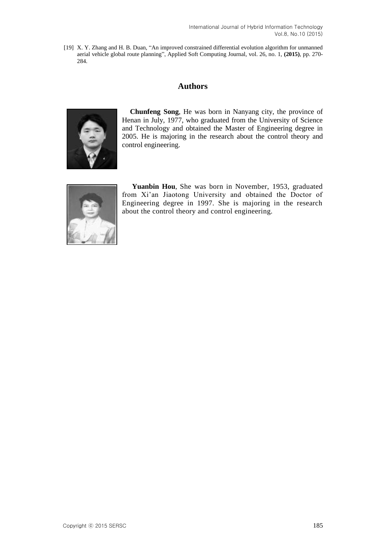[19] X. Y. Zhang and H. B. Duan, "An improved constrained differential evolution algorithm for unmanned aerial vehicle global route planning", Applied Soft Computing Journal, vol. 26, no. 1, **(2015)**, pp. 270- 284.

# **Authors**



**Chunfeng Song**, He was born in Nanyang city, the province of Henan in July, 1977, who graduated from the University of Science and Technology and obtained the Master of Engineering degree in 2005. He is majoring in the research about the control theory and control engineering.



**Yuanbin Hou**, She was born in November, 1953, graduated from Xi'an Jiaotong University and obtained the Doctor of Engineering degree in 1997. She is majoring in the research about the control theory and control engineering.